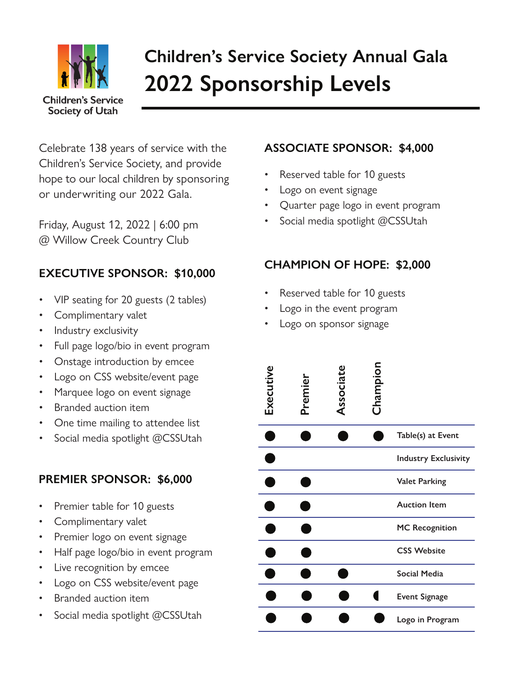

# **Children's Service Society Annual Gala 2022 Sponsorship Levels**

Celebrate 138 years of service with the Children's Service Society, and provide hope to our local children by sponsoring or underwriting our 2022 Gala.

Friday, August 12, 2022 | 6:00 pm @ Willow Creek Country Club

## **EXECUTIVE SPONSOR: \$10,000**

- VIP seating for 20 guests (2 tables)
- Complimentary valet
- Industry exclusivity
- Full page logo/bio in event program
- Onstage introduction by emcee
- Logo on CSS website/event page
- Marquee logo on event signage
- Branded auction item
- One time mailing to attendee list
- Social media spotlight @CSSUtah

## **PREMIER SPONSOR: \$6,000**

- Premier table for 10 guests
- Complimentary valet
- Premier logo on event signage
- Half page logo/bio in event program
- Live recognition by emcee
- Logo on CSS website/event page
- Branded auction item
- Social media spotlight @CSSUtah

### **ASSOCIATE SPONSOR: \$4,000**

- Reserved table for 10 guests
- Logo on event signage
- Quarter page logo in event program
- Social media spotlight @CSSUtah

# **CHAMPION OF HOPE: \$2,000**

- Reserved table for 10 guests
- Logo in the event program
- Logo on sponsor signage

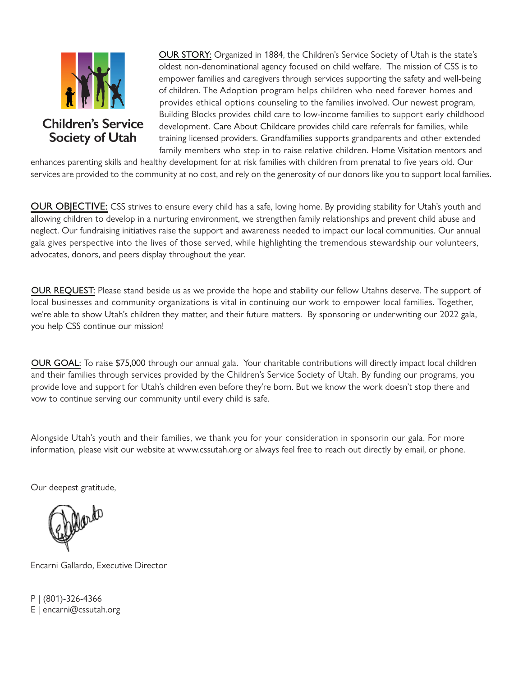

 OUR STORY: Organized in 1884, the Children's Service Society of Utah is the state's oldest non-denominational agency focused on child welfare. The mission of CSS is to empower families and caregivers through services supporting the safety and well-being of children. The Adoption program helps children who need forever homes and provides ethical options counseling to the families involved. Our newest program, Building Blocks provides child care to low-income families to support early childhood<br>Children's Service development Care About Childcare provides child care referrals for families while Inildren's Service alevelopment. Care About Childcare provides child care referrals for families, while<br>Society of Utahat and training licensed providers. Grandfamilies supports grandparents and other extend training licensed providers. Grandfamilies supports grandparents and other extended family members who step in to raise relative children. Home Visitation mentors and

enhances parenting skills and healthy development for at risk families with children from prenatal to five years old. Our services are provided to the community at no cost, and rely on the generosity of our donors like you to support local families.

OUR OBJECTIVE: CSS strives to ensure every child has a safe, loving home. By providing stability for Utah's youth and allowing children to develop in a nurturing environment, we strengthen family relationships and prevent child abuse and neglect. Our fundraising initiatives raise the support and awareness needed to impact our local communities. Our annual gala gives perspective into the lives of those served, while highlighting the tremendous stewardship our volunteers, advocates, donors, and peers display throughout the year.

OUR REQUEST: Please stand beside us as we provide the hope and stability our fellow Utahns deserve. The support of local businesses and community organizations is vital in continuing our work to empower local families. Together, we're able to show Utah's children they matter, and their future matters. By sponsoring or underwriting our 2022 gala, you help CSS continue our mission!

OUR GOAL: To raise \$75,000 through our annual gala. Your charitable contributions will directly impact local children and their families through services provided by the Children's Service Society of Utah. By funding our programs, you provide love and support for Utah's children even before they're born. But we know the work doesn't stop there and vow to continue serving our community until every child is safe.

Alongside Utah's youth and their families, we thank you for your consideration in sponsorin our gala. For more information, please visit our website at www.cssutah.org or always feel free to reach out directly by email, or phone.

Our deepest gratitude,

Encarni Gallardo, Executive Director

P | (801)-326-4366 E | encarni@cssutah.org